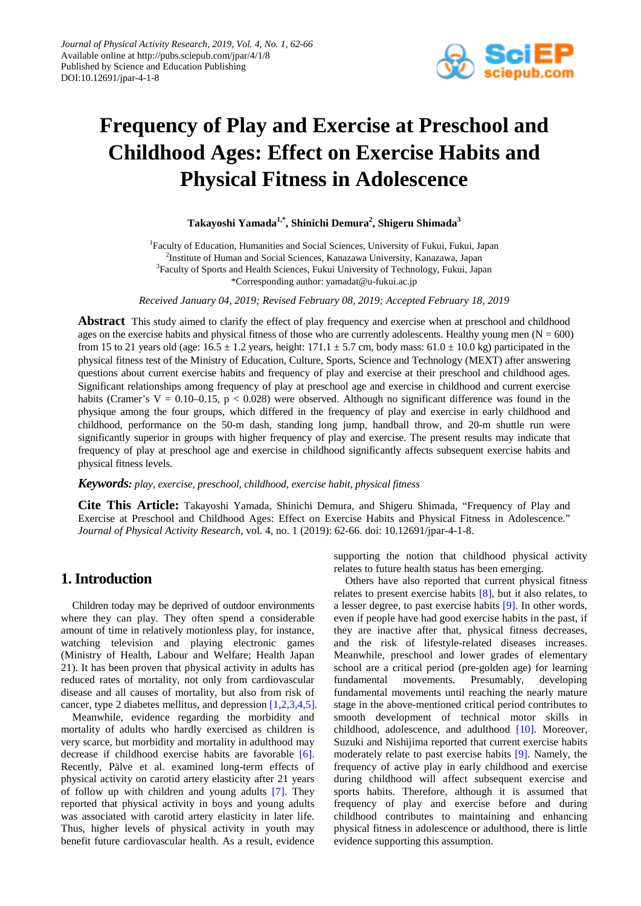

# **Frequency of Play and Exercise at Preschool and Childhood Ages: Effect on Exercise Habits and Physical Fitness in Adolescence**

**Takayoshi Yamada1,\*, Shinichi Demura<sup>2</sup> , Shigeru Shimada<sup>3</sup>**

<sup>1</sup>Faculty of Education, Humanities and Social Sciences, University of Fukui, Fukui, Japan 2 Institute of Human and Social Sciences, Kanazawa University, Kanazawa, Japan <sup>3</sup>Faculty of Sports and Health Sciences, Fukui University of Technology, Fukui, Japan \*Corresponding author: yamadat@u-fukui.ac.jp

*Received January 04, 2019; Revised February 08, 2019; Accepted February 18, 2019*

**Abstract** This study aimed to clarify the effect of play frequency and exercise when at preschool and childhood ages on the exercise habits and physical fitness of those who are currently adolescents. Healthy young men ( $N = 600$ ) from 15 to 21 years old (age:  $16.5 \pm 1.2$  years, height:  $171.1 \pm 5.7$  cm, body mass:  $61.0 \pm 10.0$  kg) participated in the physical fitness test of the Ministry of Education, Culture, Sports, Science and Technology (MEXT) after answering questions about current exercise habits and frequency of play and exercise at their preschool and childhood ages. Significant relationships among frequency of play at preschool age and exercise in childhood and current exercise habits (Cramer's  $V = 0.10 - 0.15$ ,  $p < 0.028$ ) were observed. Although no significant difference was found in the physique among the four groups, which differed in the frequency of play and exercise in early childhood and childhood, performance on the 50-m dash, standing long jump, handball throw, and 20-m shuttle run were significantly superior in groups with higher frequency of play and exercise. The present results may indicate that frequency of play at preschool age and exercise in childhood significantly affects subsequent exercise habits and physical fitness levels.

#### *Keywords: play, exercise, preschool, childhood, exercise habit, physical fitness*

**Cite This Article:** Takayoshi Yamada, Shinichi Demura, and Shigeru Shimada, "Frequency of Play and Exercise at Preschool and Childhood Ages: Effect on Exercise Habits and Physical Fitness in Adolescence." *Journal of Physical Activity Research*, vol. 4, no. 1 (2019): 62-66. doi: 10.12691/jpar-4-1-8.

## **1. Introduction**

Children today may be deprived of outdoor environments where they can play. They often spend a considerable amount of time in relatively motionless play, for instance, watching television and playing electronic games (Ministry of Health, Labour and Welfare; Health Japan 21). It has been proven that physical activity in adults has reduced rates of mortality, not only from cardiovascular disease and all causes of mortality, but also from risk of cancer, type 2 diabetes mellitus, and depression [\[1,2,3,4,5\].](#page-4-0)

Meanwhile, evidence regarding the morbidity and mortality of adults who hardly exercised as children is very scarce, but morbidity and mortality in adulthood may decrease if childhood exercise habits are favorable [\[6\].](#page-4-1) Recently, Pälve et al. examined long-term effects of physical activity on carotid artery elasticity after 21 years of follow up with children and young adults [\[7\].](#page-4-2) They reported that physical activity in boys and young adults was associated with carotid artery elasticity in later life. Thus, higher levels of physical activity in youth may benefit future cardiovascular health. As a result, evidence supporting the notion that childhood physical activity relates to future health status has been emerging.

Others have also reported that current physical fitness relates to present exercise habits [\[8\],](#page-4-3) but it also relates, to a lesser degree, to past exercise habits [\[9\].](#page-4-4) In other words, even if people have had good exercise habits in the past, if they are inactive after that, physical fitness decreases, and the risk of lifestyle-related diseases increases. Meanwhile, preschool and lower grades of elementary school are a critical period (pre-golden age) for learning fundamental movements. Presumably, developing fundamental movements until reaching the nearly mature stage in the above-mentioned critical period contributes to smooth development of technical motor skills in childhood, adolescence, and adulthood [\[10\].](#page-4-5) Moreover, Suzuki and Nishijima reported that current exercise habits moderately relate to past exercise habits [\[9\].](#page-4-4) Namely, the frequency of active play in early childhood and exercise during childhood will affect subsequent exercise and sports habits. Therefore, although it is assumed that frequency of play and exercise before and during childhood contributes to maintaining and enhancing physical fitness in adolescence or adulthood, there is little evidence supporting this assumption.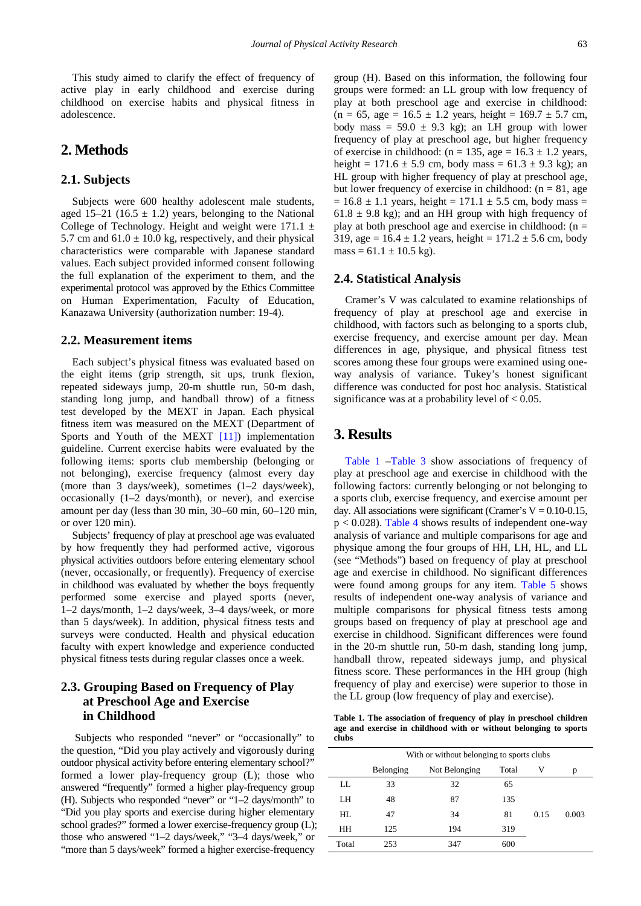This study aimed to clarify the effect of frequency of active play in early childhood and exercise during childhood on exercise habits and physical fitness in adolescence.

# **2. Methods**

#### **2.1. Subjects**

Subjects were 600 healthy adolescent male students, aged 15–21 (16.5  $\pm$  1.2) years, belonging to the National College of Technology. Height and weight were  $171.1 \pm$ 5.7 cm and  $61.0 \pm 10.0$  kg, respectively, and their physical characteristics were comparable with Japanese standard values. Each subject provided informed consent following the full explanation of the experiment to them, and the experimental protocol was approved by the Ethics Committee on Human Experimentation, Faculty of Education, Kanazawa University (authorization number: 19-4).

#### **2.2. Measurement items**

Each subject's physical fitness was evaluated based on the eight items (grip strength, sit ups, trunk flexion, repeated sideways jump, 20-m shuttle run, 50-m dash, standing long jump, and handball throw) of a fitness test developed by the MEXT in Japan. Each physical fitness item was measured on the MEXT (Department of Sports and Youth of the MEXT [\[11\]\)](#page-4-6) implementation guideline. Current exercise habits were evaluated by the following items: sports club membership (belonging or not belonging), exercise frequency (almost every day (more than 3 days/week), sometimes (1–2 days/week), occasionally (1–2 days/month), or never), and exercise amount per day (less than 30 min, 30–60 min, 60–120 min, or over 120 min).

Subjects' frequency of play at preschool age was evaluated by how frequently they had performed active, vigorous physical activities outdoors before entering elementary school (never, occasionally, or frequently). Frequency of exercise in childhood was evaluated by whether the boys frequently performed some exercise and played sports (never, 1–2 days/month, 1–2 days/week, 3–4 days/week, or more than 5 days/week). In addition, physical fitness tests and surveys were conducted. Health and physical education faculty with expert knowledge and experience conducted physical fitness tests during regular classes once a week.

## **2.3. Grouping Based on Frequency of Play at Preschool Age and Exercise in Childhood**

Subjects who responded "never" or "occasionally" to the question, "Did you play actively and vigorously during outdoor physical activity before entering elementary school?" formed a lower play-frequency group (L); those who answered "frequently" formed a higher play-frequency group (H). Subjects who responded "never" or "1–2 days/month" to "Did you play sports and exercise during higher elementary school grades?" formed a lower exercise-frequency group (L); those who answered "1–2 days/week," "3–4 days/week," or "more than 5 days/week" formed a higher exercise-frequency

group (H). Based on this information, the following four groups were formed: an LL group with low frequency of play at both preschool age and exercise in childhood:  $(n = 65, age = 16.5 \pm 1.2 \text{ years}, height = 169.7 \pm 5.7 \text{ cm},$ body mass =  $59.0 \pm 9.3$  kg); an LH group with lower frequency of play at preschool age, but higher frequency of exercise in childhood: ( $n = 135$ , age = 16.3  $\pm$  1.2 years, height =  $171.6 \pm 5.9$  cm, body mass =  $61.3 \pm 9.3$  kg); an HL group with higher frequency of play at preschool age, but lower frequency of exercise in childhood:  $(n = 81, age$  $= 16.8 \pm 1.1$  years, height  $= 171.1 \pm 5.5$  cm, body mass  $=$  $61.8 \pm 9.8$  kg); and an HH group with high frequency of play at both preschool age and exercise in childhood:  $(n =$ 319, age =  $16.4 \pm 1.2$  years, height =  $171.2 \pm 5.6$  cm, body mass =  $61.1 \pm 10.5$  kg).

#### **2.4. Statistical Analysis**

Cramer's V was calculated to examine relationships of frequency of play at preschool age and exercise in childhood, with factors such as belonging to a sports club, exercise frequency, and exercise amount per day. Mean differences in age, physique, and physical fitness test scores among these four groups were examined using oneway analysis of variance. Tukey's honest significant difference was conducted for post hoc analysis. Statistical significance was at a probability level of  $< 0.05$ .

#### **3. Results**

[Table 1](#page-1-0) [–Table 3](#page-2-0) show associations of frequency of play at preschool age and exercise in childhood with the following factors: currently belonging or not belonging to a sports club, exercise frequency, and exercise amount per day. All associations were significant (Cramer's  $V = 0.10 - 0.15$ ,  $p < 0.028$ ). [Table 4](#page-2-1) shows results of independent one-way analysis of variance and multiple comparisons for age and physique among the four groups of HH, LH, HL, and LL (see "Methods") based on frequency of play at preschool age and exercise in childhood. No significant differences were found among groups for any item. [Table 5](#page-2-2) shows results of independent one-way analysis of variance and multiple comparisons for physical fitness tests among groups based on frequency of play at preschool age and exercise in childhood. Significant differences were found in the 20-m shuttle run, 50-m dash, standing long jump, handball throw, repeated sideways jump, and physical fitness score. These performances in the HH group (high frequency of play and exercise) were superior to those in the LL group (low frequency of play and exercise).

**Table 1. The association of frequency of play in preschool children age and exercise in childhood with or without belonging to sports clubs**

<span id="page-1-0"></span>

|       | With or without belonging to sports clubs |               |       |      |       |  |  |  |  |
|-------|-------------------------------------------|---------------|-------|------|-------|--|--|--|--|
|       | Belonging                                 | Not Belonging | Total | V    | p     |  |  |  |  |
| LL    | 33                                        | 32            | 65    |      |       |  |  |  |  |
| LH    | 48                                        | 87            | 135   |      |       |  |  |  |  |
| HL    | 47                                        | 34            | 81    | 0.15 | 0.003 |  |  |  |  |
| HH    | 125                                       | 194           | 319   |      |       |  |  |  |  |
| Total | 253                                       | 347           | 600   |      |       |  |  |  |  |
|       |                                           |               |       |      |       |  |  |  |  |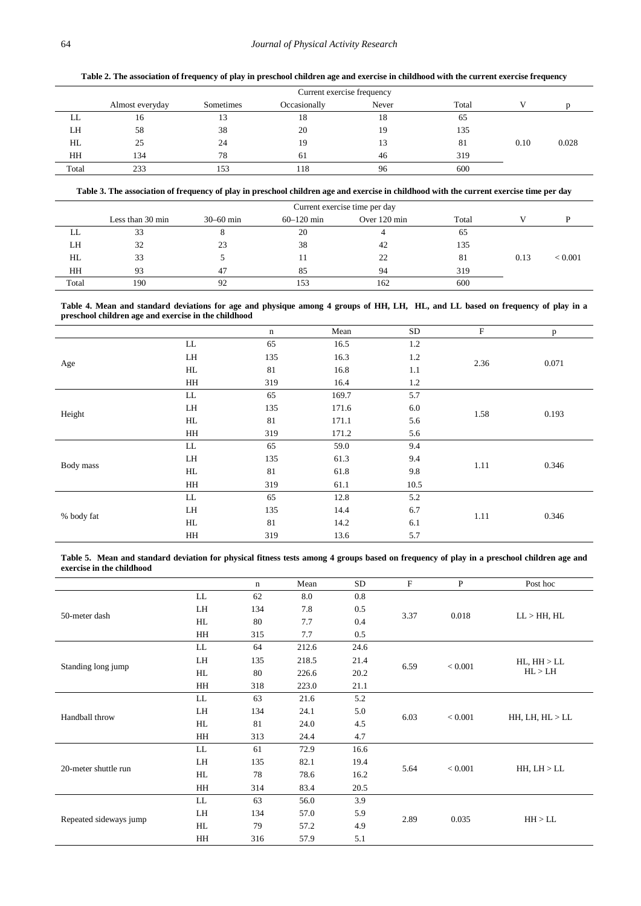**Table 2. The association of frequency of play in preschool children age and exercise in childhood with the current exercise frequency**

<span id="page-2-3"></span>

|       | Current exercise frequency |           |              |       |       |      |       |  |  |
|-------|----------------------------|-----------|--------------|-------|-------|------|-------|--|--|
|       | Almost everyday            | Sometimes | Occasionally | Never | Total |      |       |  |  |
| LL    | 16                         | 13        | 18           | 18    | 65    |      |       |  |  |
| LH    | 58                         | 38        | 20           | 19    | 135   |      |       |  |  |
| HL    | 25                         | 24        | 19           |       | 81    | 0.10 | 0.028 |  |  |
| HH    | 134                        | 78        | 61           | 46    | 319   |      |       |  |  |
| Total | 233                        | 153       | 118          | 96    | 600   |      |       |  |  |

**Table 3. The association of frequency of play in preschool children age and exercise in childhood with the current exercise time per day**

<span id="page-2-0"></span>

|       | Current exercise time per day |               |                |              |       |      |         |  |  |
|-------|-------------------------------|---------------|----------------|--------------|-------|------|---------|--|--|
|       | Less than 30 min              | $30 - 60$ min | $60 - 120$ min | Over 120 min | Total |      |         |  |  |
| LL    | 33                            |               | 20             |              | 65    |      |         |  |  |
| LH    | 32                            | 23            | 38             | 42           | 135   |      |         |  |  |
| HL    | 33                            |               | П              | 22           | 81    | 0.13 | < 0.001 |  |  |
| HH    | 93                            | -47           | 85             | 94           | 319   |      |         |  |  |
| Total | 190                           | 92            | 153            | 162          | 600   |      |         |  |  |

**Table 4. Mean and standard deviations for age and physique among 4 groups of HH, LH, HL, and LL based on frequency of play in a preschool children age and exercise in the childhood**

<span id="page-2-1"></span>

|            |            | $\mathbf n$ | Mean  | <b>SD</b> | F    | p     |
|------------|------------|-------------|-------|-----------|------|-------|
|            | ${\rm LL}$ | 65          | 16.5  | 1.2       |      |       |
|            | LH         | 135         | 16.3  | 1.2       | 2.36 | 0.071 |
| Age        | HL         | 81          | 16.8  | 1.1       |      |       |
|            | HH         | 319         | 16.4  | 1.2       |      |       |
|            | LL         | 65          | 169.7 | 5.7       |      |       |
|            | LH         | 135         | 171.6 | 6.0       | 1.58 | 0.193 |
| Height     | HL         | 81          | 171.1 | 5.6       |      |       |
|            | HH         | 319         | 171.2 | 5.6       |      |       |
|            | $\rm LL$   | 65          | 59.0  | 9.4       |      |       |
|            | LH         | 135         | 61.3  | 9.4       | 1.11 | 0.346 |
| Body mass  | HL         | 81          | 61.8  | $9.8\,$   |      |       |
|            | HH         | 319         | 61.1  | 10.5      |      |       |
|            | LL         | 65          | 12.8  | 5.2       |      |       |
|            | LH         | 135         | 14.4  | 6.7       |      |       |
| % body fat | HL         | 81          | 14.2  | 6.1       | 1.11 | 0.346 |
|            | HH         | 319         | 13.6  | 5.7       |      |       |

**Table 5. Mean and standard deviation for physical fitness tests among 4 groups based on frequency of play in a preschool children age and exercise in the childhood**

<span id="page-2-2"></span>

|                        |    | n   | Mean  | <b>SD</b> | $\mathbf F$ | $\mathbf{P}$ | Post hoc                      |  |
|------------------------|----|-----|-------|-----------|-------------|--------------|-------------------------------|--|
|                        | LL | 62  | 8.0   | 0.8       |             | 0.018        |                               |  |
| 50-meter dash          | LH | 134 | 7.8   | 0.5       | 3.37        |              | LL > HH, HL                   |  |
|                        | HL | 80  | 7.7   | 0.4       |             |              |                               |  |
|                        | HH | 315 | 7.7   | 0.5       |             |              |                               |  |
|                        | LL | 64  | 212.6 | 24.6      |             | < 0.001      | $HL$ , $HH$ > $LL$<br>HL > LH |  |
| Standing long jump     | LH | 135 | 218.5 | 21.4      | 6.59        |              |                               |  |
|                        | HL | 80  | 226.6 | 20.2      |             |              |                               |  |
|                        | HH | 318 | 223.0 | 21.1      |             |              |                               |  |
|                        | LL | 63  | 21.6  | 5.2       | 6.03        | < 0.001      | HH, LH, HL > LL               |  |
| Handball throw         | LH | 134 | 24.1  | 5.0       |             |              |                               |  |
|                        | HL | 81  | 24.0  | 4.5       |             |              |                               |  |
|                        | HH | 313 | 24.4  | 4.7       |             |              |                               |  |
|                        | LL | 61  | 72.9  | 16.6      |             | < 0.001      | HH, LH > LL                   |  |
| 20-meter shuttle run   | LH | 135 | 82.1  | 19.4      | 5.64        |              |                               |  |
|                        | HL | 78  | 78.6  | 16.2      |             |              |                               |  |
|                        | HH | 314 | 83.4  | 20.5      |             |              |                               |  |
|                        | LL | 63  | 56.0  | 3.9       | 2.89        | 0.035        |                               |  |
| Repeated sideways jump | LH | 134 | 57.0  | 5.9       |             |              | HH > LL                       |  |
|                        | HL | 79  | 57.2  | 4.9       |             |              |                               |  |
|                        | HH | 316 | 57.9  | 5.1       |             |              |                               |  |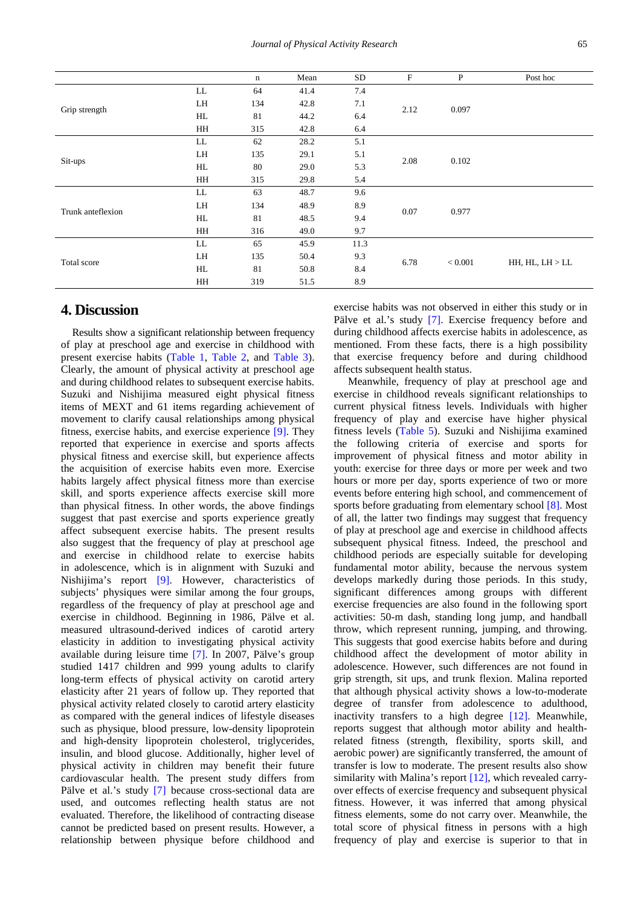|                   |    | $\mathbf n$ | Mean | SD   | $\mathbf F$     | $\, {\bf P}$ | Post hoc        |
|-------------------|----|-------------|------|------|-----------------|--------------|-----------------|
|                   | LL | 64          | 41.4 | 7.4  |                 |              |                 |
| Grip strength     | LH | 134         | 42.8 | 7.1  | 2.12            | 0.097        |                 |
|                   | HL | 81          | 44.2 | 6.4  |                 |              |                 |
|                   | HH | 315         | 42.8 | 6.4  |                 |              |                 |
|                   | LL | 62          | 28.2 | 5.1  |                 |              |                 |
|                   | LH | 135         | 29.1 | 5.1  | 2.08            | 0.102        |                 |
| Sit-ups           | HL | 80          | 29.0 | 5.3  |                 |              |                 |
|                   | HH | 315         | 29.8 | 5.4  |                 |              |                 |
|                   | LL | 63          | 48.7 | 9.6  |                 | 0.977        |                 |
| Trunk anteflexion | LH | 134         | 48.9 | 8.9  | 0.07            |              |                 |
|                   | HL | 81          | 48.5 | 9.4  |                 |              |                 |
|                   | HH | 316         | 49.0 | 9.7  |                 |              |                 |
|                   | LL | 65          | 45.9 | 11.3 | 6.78<br>< 0.001 |              |                 |
| Total score       | LH | 135         | 50.4 | 9.3  |                 |              | HH, HL, LH > LL |
|                   | HL | 81          | 50.8 | 8.4  |                 |              |                 |
|                   | HH | 319         | 51.5 | 8.9  |                 |              |                 |

#### **4. Discussion**

Results show a significant relationship between frequency of play at preschool age and exercise in childhood with present exercise habits [\(Table 1,](#page-1-0) [Table 2,](#page-2-3) and [Table 3\)](#page-2-0). Clearly, the amount of physical activity at preschool age and during childhood relates to subsequent exercise habits. Suzuki and Nishijima measured eight physical fitness items of MEXT and 61 items regarding achievement of movement to clarify causal relationships among physical fitness, exercise habits, and exercise experience [\[9\].](#page-4-4) They reported that experience in exercise and sports affects physical fitness and exercise skill, but experience affects the acquisition of exercise habits even more. Exercise habits largely affect physical fitness more than exercise skill, and sports experience affects exercise skill more than physical fitness. In other words, the above findings suggest that past exercise and sports experience greatly affect subsequent exercise habits. The present results also suggest that the frequency of play at preschool age and exercise in childhood relate to exercise habits in adolescence, which is in alignment with Suzuki and Nishijima's report [\[9\].](#page-4-4) However, characteristics of subjects' physiques were similar among the four groups, regardless of the frequency of play at preschool age and exercise in childhood. Beginning in 1986, Pälve et al. measured ultrasound-derived indices of carotid artery elasticity in addition to investigating physical activity available during leisure time [\[7\].](#page-4-2) In 2007, Pälve's group studied 1417 children and 999 young adults to clarify long-term effects of physical activity on carotid artery elasticity after 21 years of follow up. They reported that physical activity related closely to carotid artery elasticity as compared with the general indices of lifestyle diseases such as physique, blood pressure, low-density lipoprotein and high-density lipoprotein cholesterol, triglycerides, insulin, and blood glucose. Additionally, higher level of physical activity in children may benefit their future cardiovascular health. The present study differs from Pälve et al.'s study [\[7\]](#page-4-2) because cross-sectional data are used, and outcomes reflecting health status are not evaluated. Therefore, the likelihood of contracting disease cannot be predicted based on present results. However, a relationship between physique before childhood and

exercise habits was not observed in either this study or in Pälve et al.'s study [\[7\].](#page-4-2) Exercise frequency before and during childhood affects exercise habits in adolescence, as mentioned. From these facts, there is a high possibility that exercise frequency before and during childhood affects subsequent health status.

Meanwhile, frequency of play at preschool age and exercise in childhood reveals significant relationships to current physical fitness levels. Individuals with higher frequency of play and exercise have higher physical fitness levels [\(Table 5\)](#page-2-2). Suzuki and Nishijima examined the following criteria of exercise and sports for improvement of physical fitness and motor ability in youth: exercise for three days or more per week and two hours or more per day, sports experience of two or more events before entering high school, and commencement of sports before graduating from elementary school [\[8\].](#page-4-3) Most of all, the latter two findings may suggest that frequency of play at preschool age and exercise in childhood affects subsequent physical fitness. Indeed, the preschool and childhood periods are especially suitable for developing fundamental motor ability, because the nervous system develops markedly during those periods. In this study, significant differences among groups with different exercise frequencies are also found in the following sport activities: 50-m dash, standing long jump, and handball throw, which represent running, jumping, and throwing. This suggests that good exercise habits before and during childhood affect the development of motor ability in adolescence. However, such differences are not found in grip strength, sit ups, and trunk flexion. Malina reported that although physical activity shows a low-to-moderate degree of transfer from adolescence to adulthood, inactivity transfers to a high degree [\[12\].](#page-4-7) Meanwhile, reports suggest that although motor ability and healthrelated fitness (strength, flexibility, sports skill, and aerobic power) are significantly transferred, the amount of transfer is low to moderate. The present results also show similarity with Malina's report [\[12\],](#page-4-7) which revealed carryover effects of exercise frequency and subsequent physical fitness. However, it was inferred that among physical fitness elements, some do not carry over. Meanwhile, the total score of physical fitness in persons with a high frequency of play and exercise is superior to that in